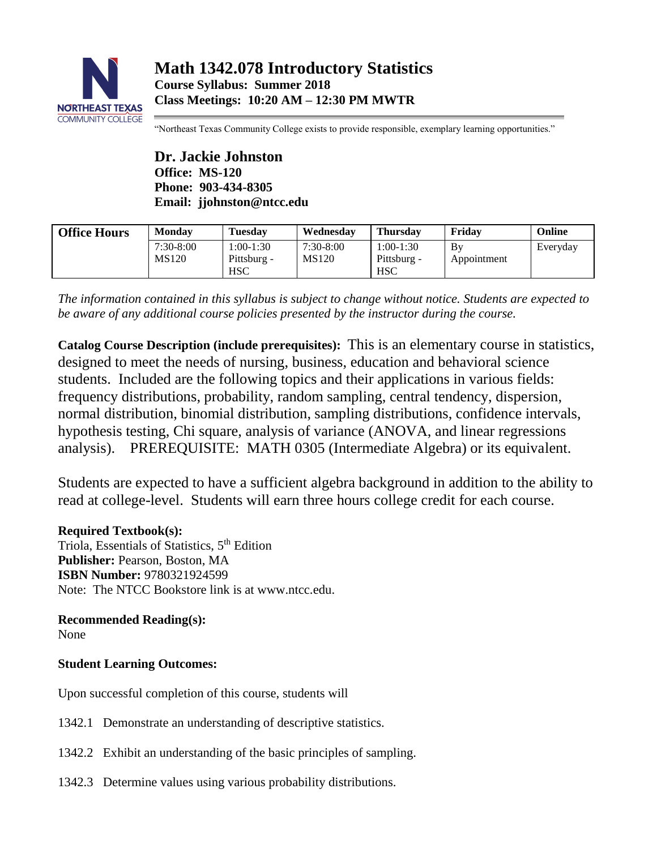

"Northeast Texas Community College exists to provide responsible, exemplary learning opportunities."

**Dr. Jackie Johnston Office: MS-120 Phone: 903-434-8305 Email: jjohnston@ntcc.edu**

| <b>Office Hours</b> | Monday             | <b>Tuesday</b>                           | Wednesday          | <b>Thursdav</b>                          | Fridav            | Online   |
|---------------------|--------------------|------------------------------------------|--------------------|------------------------------------------|-------------------|----------|
|                     | 7:30-8:00<br>MS120 | $1:00-1:30$<br>Pittsburg -<br><b>HSC</b> | 7:30-8:00<br>MS120 | $1:00-1:30$<br>Pittsburg -<br><b>HSC</b> | Bv<br>Appointment | Everyday |

*The information contained in this syllabus is subject to change without notice. Students are expected to be aware of any additional course policies presented by the instructor during the course.*

**Catalog Course Description (include prerequisites):** This is an elementary course in statistics, designed to meet the needs of nursing, business, education and behavioral science students. Included are the following topics and their applications in various fields: frequency distributions, probability, random sampling, central tendency, dispersion, normal distribution, binomial distribution, sampling distributions, confidence intervals, hypothesis testing, Chi square, analysis of variance (ANOVA, and linear regressions analysis). PREREQUISITE: MATH 0305 (Intermediate Algebra) or its equivalent.

Students are expected to have a sufficient algebra background in addition to the ability to read at college-level. Students will earn three hours college credit for each course.

**Required Textbook(s):** Triola, Essentials of Statistics, 5<sup>th</sup> Edition **Publisher:** Pearson, Boston, MA **ISBN Number:** 9780321924599 Note: The NTCC Bookstore link is at www.ntcc.edu.

**Recommended Reading(s):** None

# **Student Learning Outcomes:**

Upon successful completion of this course, students will

- 1342.1 Demonstrate an understanding of descriptive statistics.
- 1342.2 Exhibit an understanding of the basic principles of sampling.
- 1342.3 Determine values using various probability distributions.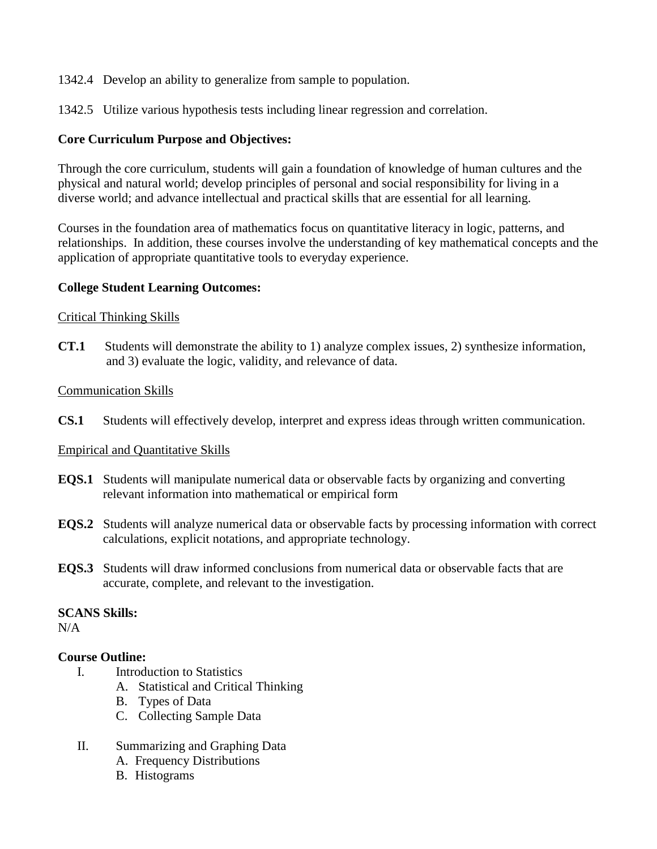1342.4 Develop an ability to generalize from sample to population.

1342.5 Utilize various hypothesis tests including linear regression and correlation.

## **Core Curriculum Purpose and Objectives:**

Through the core curriculum, students will gain a foundation of knowledge of human cultures and the physical and natural world; develop principles of personal and social responsibility for living in a diverse world; and advance intellectual and practical skills that are essential for all learning.

Courses in the foundation area of mathematics focus on quantitative literacy in logic, patterns, and relationships. In addition, these courses involve the understanding of key mathematical concepts and the application of appropriate quantitative tools to everyday experience.

## **College Student Learning Outcomes:**

### Critical Thinking Skills

**CT.1** Students will demonstrate the ability to 1) analyze complex issues, 2) synthesize information, and 3) evaluate the logic, validity, and relevance of data.

### Communication Skills

**CS.1** Students will effectively develop, interpret and express ideas through written communication.

### Empirical and Quantitative Skills

- **EQS.1** Students will manipulate numerical data or observable facts by organizing and converting relevant information into mathematical or empirical form
- **EQS.2** Students will analyze numerical data or observable facts by processing information with correct calculations, explicit notations, and appropriate technology.
- **EQS.3** Students will draw informed conclusions from numerical data or observable facts that are accurate, complete, and relevant to the investigation.

## **SCANS Skills:**

N/A

### **Course Outline:**

- I. Introduction to Statistics
	- A. Statistical and Critical Thinking
	- B. Types of Data
	- C. Collecting Sample Data
- II. Summarizing and Graphing Data
	- A. Frequency Distributions
	- B. Histograms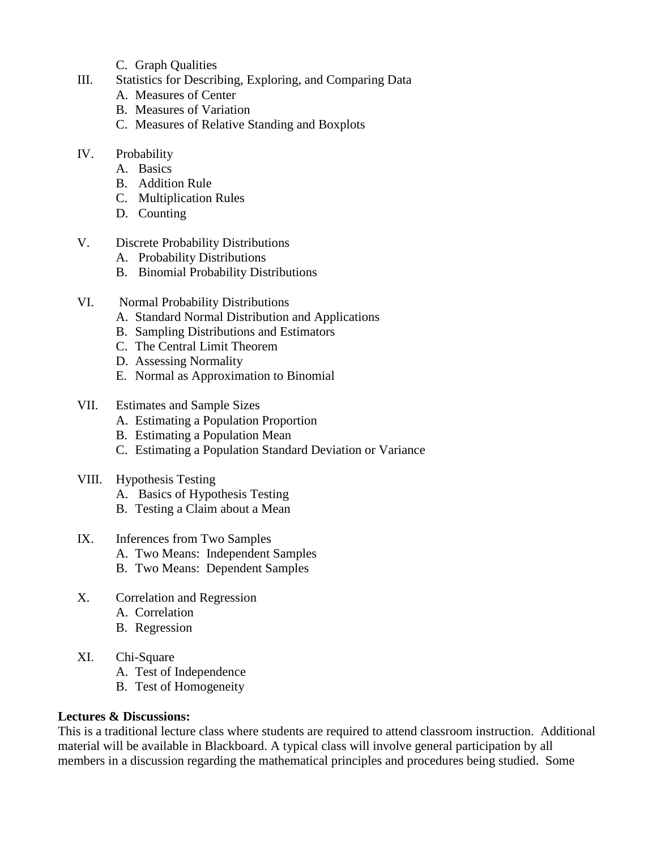- C. Graph Qualities
- III. Statistics for Describing, Exploring, and Comparing Data
	- A. Measures of Center
	- B. Measures of Variation
	- C. Measures of Relative Standing and Boxplots
- IV. Probability
	- A. Basics
	- B. Addition Rule
	- C. Multiplication Rules
	- D. Counting
- V. Discrete Probability Distributions
	- A. Probability Distributions
	- B. Binomial Probability Distributions
- VI. Normal Probability Distributions
	- A. Standard Normal Distribution and Applications
	- B. Sampling Distributions and Estimators
	- C. The Central Limit Theorem
	- D. Assessing Normality
	- E. Normal as Approximation to Binomial
- VII. Estimates and Sample Sizes
	- A. Estimating a Population Proportion
	- B. Estimating a Population Mean
	- C. Estimating a Population Standard Deviation or Variance
- VIII. Hypothesis Testing
	- A. Basics of Hypothesis Testing
	- B. Testing a Claim about a Mean

## IX. Inferences from Two Samples

- A. Two Means: Independent Samples
- B. Two Means: Dependent Samples
- X. Correlation and Regression
	- A. Correlation
	- B. Regression
- XI. Chi-Square
	- A. Test of Independence
	- B. Test of Homogeneity

## **Lectures & Discussions:**

This is a traditional lecture class where students are required to attend classroom instruction. Additional material will be available in Blackboard. A typical class will involve general participation by all members in a discussion regarding the mathematical principles and procedures being studied. Some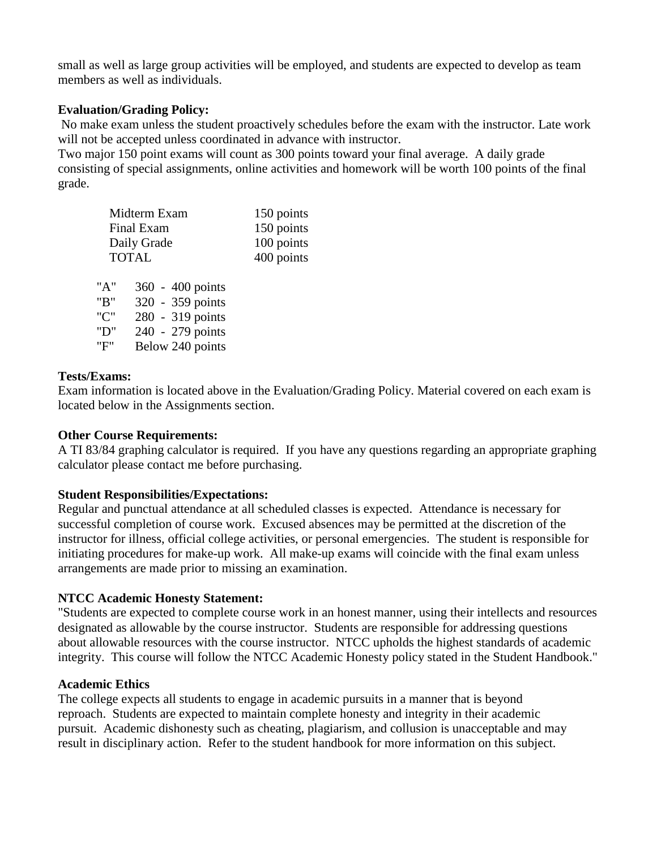small as well as large group activities will be employed, and students are expected to develop as team members as well as individuals.

## **Evaluation/Grading Policy:**

No make exam unless the student proactively schedules before the exam with the instructor. Late work will not be accepted unless coordinated in advance with instructor.

Two major 150 point exams will count as 300 points toward your final average. A daily grade consisting of special assignments, online activities and homework will be worth 100 points of the final grade.

| Midterm Exam | 150 points       |  |
|--------------|------------------|--|
| Final Exam   | 150 points       |  |
| Daily Grade  | 100 points       |  |
| <b>TOTAL</b> | 400 points       |  |
| "A"          | 360 - 400 points |  |
| "B"          | 320 - 359 points |  |
| "C"          | 280 - 319 points |  |

#### **Tests/Exams:**

Exam information is located above in the Evaluation/Grading Policy. Material covered on each exam is located below in the Assignments section.

### **Other Course Requirements:**

A TI 83/84 graphing calculator is required. If you have any questions regarding an appropriate graphing calculator please contact me before purchasing.

### **Student Responsibilities/Expectations:**

"D" 240 - 279 points "F" Below 240 points

Regular and punctual attendance at all scheduled classes is expected. Attendance is necessary for successful completion of course work. Excused absences may be permitted at the discretion of the instructor for illness, official college activities, or personal emergencies. The student is responsible for initiating procedures for make-up work. All make-up exams will coincide with the final exam unless arrangements are made prior to missing an examination.

### **NTCC Academic Honesty Statement:**

"Students are expected to complete course work in an honest manner, using their intellects and resources designated as allowable by the course instructor. Students are responsible for addressing questions about allowable resources with the course instructor. NTCC upholds the highest standards of academic integrity. This course will follow the NTCC Academic Honesty policy stated in the Student Handbook."

### **Academic Ethics**

The college expects all students to engage in academic pursuits in a manner that is beyond reproach. Students are expected to maintain complete honesty and integrity in their academic pursuit. Academic dishonesty such as cheating, plagiarism, and collusion is unacceptable and may result in disciplinary action. Refer to the student handbook for more information on this subject.